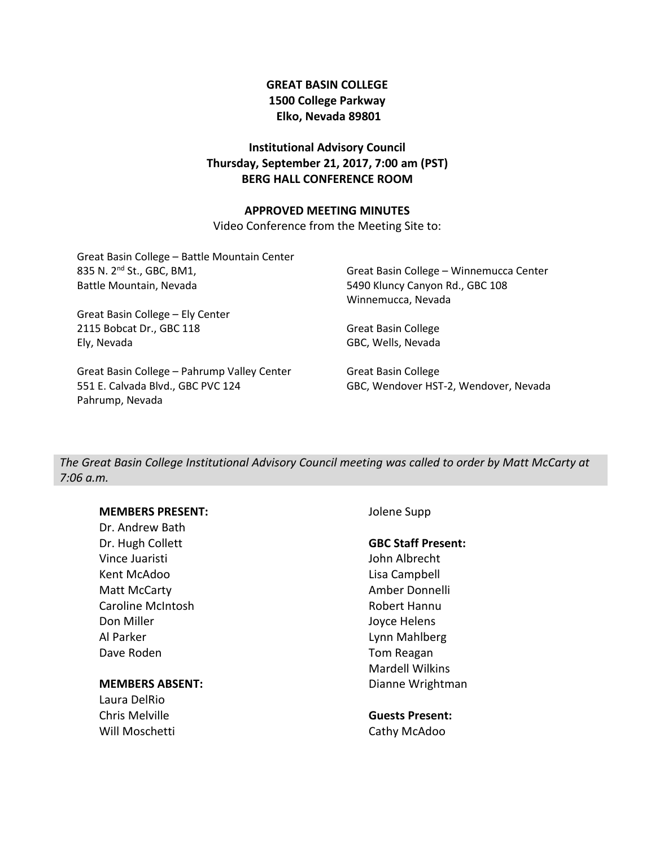## **GREAT BASIN COLLEGE 1500 College Parkway Elko, Nevada 89801**

## **Institutional Advisory Council Thursday, September 21, 2017, 7:00 am (PST) BERG HALL CONFERENCE ROOM**

## **APPROVED MEETING MINUTES**

Video Conference from the Meeting Site to:

Great Basin College – Battle Mountain Center 835 N. 2nd St., GBC, BM1, Battle Mountain, Nevada

Great Basin College – Ely Center 2115 Bobcat Dr., GBC 118 Ely, Nevada

Great Basin College – Pahrump Valley Center 551 E. Calvada Blvd., GBC PVC 124 Pahrump, Nevada

Great Basin College – Winnemucca Center 5490 Kluncy Canyon Rd., GBC 108 Winnemucca, Nevada

Great Basin College GBC, Wells, Nevada

Great Basin College GBC, Wendover HST-2, Wendover, Nevada

*The Great Basin College Institutional Advisory Council meeting was called to order by Matt McCarty at 7:06 a.m.*

## **MEMBERS PRESENT:**

Dr. Andrew Bath Dr. Hugh Collett Vince Juaristi Kent McAdoo Matt McCarty Caroline McIntosh Don Miller Al Parker Dave Roden

## **MEMBERS ABSENT:**

Laura DelRio Chris Melville Will Moschetti Jolene Supp

### **GBC Staff Present:**

John Albrecht Lisa Campbell Amber Donnelli Robert Hannu Joyce Helens Lynn Mahlberg Tom Reagan Mardell Wilkins Dianne Wrightman

**Guests Present:** Cathy McAdoo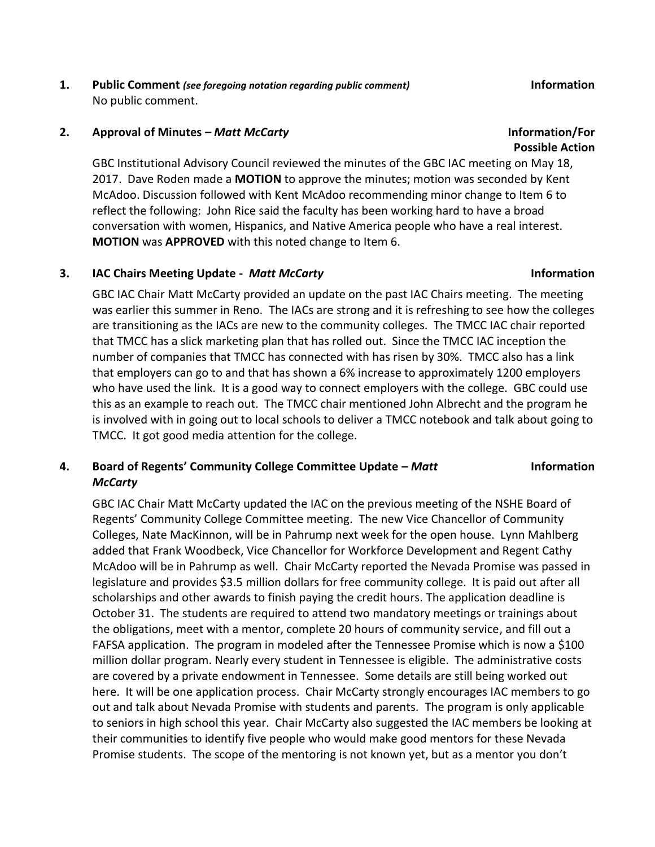**1. Public Comment** *(see foregoing notation regarding public comment)* **Information** No public comment.

### **2. Approval of Minutes –** *Matt McCarty* **Information/For**

GBC Institutional Advisory Council reviewed the minutes of the GBC IAC meeting on May 18, 2017. Dave Roden made a **MOTION** to approve the minutes; motion was seconded by Kent McAdoo. Discussion followed with Kent McAdoo recommending minor change to Item 6 to reflect the following: John Rice said the faculty has been working hard to have a broad conversation with women, Hispanics, and Native America people who have a real interest. **MOTION** was **APPROVED** with this noted change to Item 6.

### **3. IAC Chairs Meeting Update -** *Matt McCarty* **Information**

GBC IAC Chair Matt McCarty provided an update on the past IAC Chairs meeting. The meeting was earlier this summer in Reno. The IACs are strong and it is refreshing to see how the colleges are transitioning as the IACs are new to the community colleges. The TMCC IAC chair reported that TMCC has a slick marketing plan that has rolled out. Since the TMCC IAC inception the number of companies that TMCC has connected with has risen by 30%. TMCC also has a link that employers can go to and that has shown a 6% increase to approximately 1200 employers who have used the link. It is a good way to connect employers with the college. GBC could use this as an example to reach out. The TMCC chair mentioned John Albrecht and the program he is involved with in going out to local schools to deliver a TMCC notebook and talk about going to TMCC. It got good media attention for the college.

### **4. Board of Regents' Community College Committee Update –** *Matt McCarty* **Information**

GBC IAC Chair Matt McCarty updated the IAC on the previous meeting of the NSHE Board of Regents' Community College Committee meeting. The new Vice Chancellor of Community Colleges, Nate MacKinnon, will be in Pahrump next week for the open house. Lynn Mahlberg added that Frank Woodbeck, Vice Chancellor for Workforce Development and Regent Cathy McAdoo will be in Pahrump as well. Chair McCarty reported the Nevada Promise was passed in legislature and provides \$3.5 million dollars for free community college. It is paid out after all scholarships and other awards to finish paying the credit hours. The application deadline is October 31. The students are required to attend two mandatory meetings or trainings about the obligations, meet with a mentor, complete 20 hours of community service, and fill out a FAFSA application. The program in modeled after the Tennessee Promise which is now a \$100 million dollar program. Nearly every student in Tennessee is eligible. The administrative costs are covered by a private endowment in Tennessee. Some details are still being worked out here. It will be one application process. Chair McCarty strongly encourages IAC members to go out and talk about Nevada Promise with students and parents. The program is only applicable to seniors in high school this year. Chair McCarty also suggested the IAC members be looking at their communities to identify five people who would make good mentors for these Nevada Promise students. The scope of the mentoring is not known yet, but as a mentor you don't

## **Possible Action**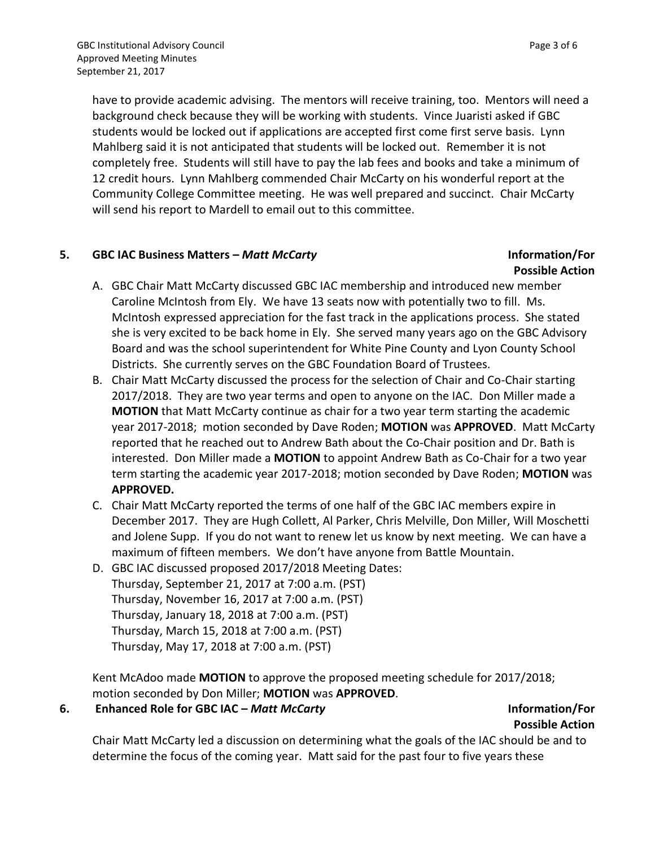have to provide academic advising. The mentors will receive training, too. Mentors will need a background check because they will be working with students. Vince Juaristi asked if GBC students would be locked out if applications are accepted first come first serve basis. Lynn Mahlberg said it is not anticipated that students will be locked out. Remember it is not completely free. Students will still have to pay the lab fees and books and take a minimum of 12 credit hours. Lynn Mahlberg commended Chair McCarty on his wonderful report at the Community College Committee meeting. He was well prepared and succinct. Chair McCarty will send his report to Mardell to email out to this committee.

## **5. GBC IAC Business Matters –** *Matt McCarty* **Information/For**

# **Possible Action**

- A. GBC Chair Matt McCarty discussed GBC IAC membership and introduced new member Caroline McIntosh from Ely. We have 13 seats now with potentially two to fill. Ms. McIntosh expressed appreciation for the fast track in the applications process. She stated she is very excited to be back home in Ely. She served many years ago on the GBC Advisory Board and was the school superintendent for White Pine County and Lyon County School Districts. She currently serves on the GBC Foundation Board of Trustees.
- B. Chair Matt McCarty discussed the process for the selection of Chair and Co-Chair starting 2017/2018. They are two year terms and open to anyone on the IAC. Don Miller made a **MOTION** that Matt McCarty continue as chair for a two year term starting the academic year 2017-2018; motion seconded by Dave Roden; **MOTION** was **APPROVED**. Matt McCarty reported that he reached out to Andrew Bath about the Co-Chair position and Dr. Bath is interested. Don Miller made a **MOTION** to appoint Andrew Bath as Co-Chair for a two year term starting the academic year 2017-2018; motion seconded by Dave Roden; **MOTION** was **APPROVED.**
- C. Chair Matt McCarty reported the terms of one half of the GBC IAC members expire in December 2017. They are Hugh Collett, Al Parker, Chris Melville, Don Miller, Will Moschetti and Jolene Supp. If you do not want to renew let us know by next meeting. We can have a maximum of fifteen members. We don't have anyone from Battle Mountain.
- D. GBC IAC discussed proposed 2017/2018 Meeting Dates: Thursday, September 21, 2017 at 7:00 a.m. (PST) Thursday, November 16, 2017 at 7:00 a.m. (PST) Thursday, January 18, 2018 at 7:00 a.m. (PST) Thursday, March 15, 2018 at 7:00 a.m. (PST) Thursday, May 17, 2018 at 7:00 a.m. (PST)

Kent McAdoo made **MOTION** to approve the proposed meeting schedule for 2017/2018; motion seconded by Don Miller; **MOTION** was **APPROVED**.

## **6. Enhanced Role for GBC IAC –** *Matt McCarty* **Information/For**

## **Possible Action**

Chair Matt McCarty led a discussion on determining what the goals of the IAC should be and to determine the focus of the coming year. Matt said for the past four to five years these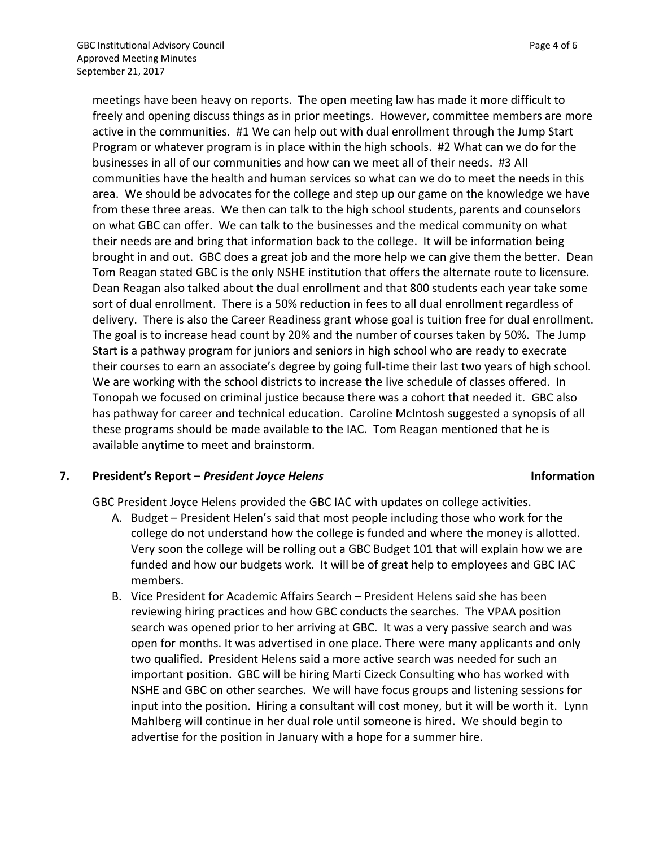meetings have been heavy on reports. The open meeting law has made it more difficult to freely and opening discuss things as in prior meetings. However, committee members are more active in the communities. #1 We can help out with dual enrollment through the Jump Start Program or whatever program is in place within the high schools. #2 What can we do for the businesses in all of our communities and how can we meet all of their needs. #3 All communities have the health and human services so what can we do to meet the needs in this area. We should be advocates for the college and step up our game on the knowledge we have from these three areas. We then can talk to the high school students, parents and counselors on what GBC can offer. We can talk to the businesses and the medical community on what their needs are and bring that information back to the college. It will be information being brought in and out. GBC does a great job and the more help we can give them the better. Dean Tom Reagan stated GBC is the only NSHE institution that offers the alternate route to licensure. Dean Reagan also talked about the dual enrollment and that 800 students each year take some sort of dual enrollment. There is a 50% reduction in fees to all dual enrollment regardless of delivery. There is also the Career Readiness grant whose goal is tuition free for dual enrollment. The goal is to increase head count by 20% and the number of courses taken by 50%. The Jump Start is a pathway program for juniors and seniors in high school who are ready to execrate their courses to earn an associate's degree by going full-time their last two years of high school. We are working with the school districts to increase the live schedule of classes offered. In Tonopah we focused on criminal justice because there was a cohort that needed it. GBC also has pathway for career and technical education. Caroline McIntosh suggested a synopsis of all these programs should be made available to the IAC. Tom Reagan mentioned that he is available anytime to meet and brainstorm.

## **7. President's Report –** *President Joyce Helens* **Information**

GBC President Joyce Helens provided the GBC IAC with updates on college activities.

- A. Budget President Helen's said that most people including those who work for the college do not understand how the college is funded and where the money is allotted. Very soon the college will be rolling out a GBC Budget 101 that will explain how we are funded and how our budgets work. It will be of great help to employees and GBC IAC members.
- B. Vice President for Academic Affairs Search President Helens said she has been reviewing hiring practices and how GBC conducts the searches. The VPAA position search was opened prior to her arriving at GBC. It was a very passive search and was open for months. It was advertised in one place. There were many applicants and only two qualified. President Helens said a more active search was needed for such an important position. GBC will be hiring Marti Cizeck Consulting who has worked with NSHE and GBC on other searches. We will have focus groups and listening sessions for input into the position. Hiring a consultant will cost money, but it will be worth it. Lynn Mahlberg will continue in her dual role until someone is hired. We should begin to advertise for the position in January with a hope for a summer hire.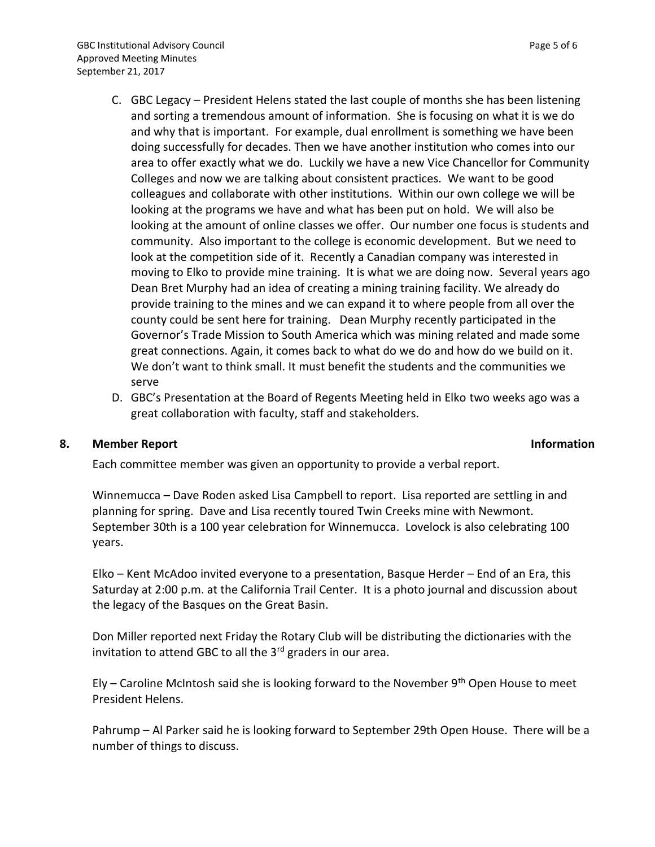- C. GBC Legacy President Helens stated the last couple of months she has been listening and sorting a tremendous amount of information. She is focusing on what it is we do and why that is important. For example, dual enrollment is something we have been doing successfully for decades. Then we have another institution who comes into our area to offer exactly what we do. Luckily we have a new Vice Chancellor for Community Colleges and now we are talking about consistent practices. We want to be good colleagues and collaborate with other institutions. Within our own college we will be looking at the programs we have and what has been put on hold. We will also be looking at the amount of online classes we offer. Our number one focus is students and community. Also important to the college is economic development. But we need to look at the competition side of it. Recently a Canadian company was interested in moving to Elko to provide mine training. It is what we are doing now. Several years ago Dean Bret Murphy had an idea of creating a mining training facility. We already do provide training to the mines and we can expand it to where people from all over the county could be sent here for training. Dean Murphy recently participated in the Governor's Trade Mission to South America which was mining related and made some great connections. Again, it comes back to what do we do and how do we build on it. We don't want to think small. It must benefit the students and the communities we serve
- D. GBC's Presentation at the Board of Regents Meeting held in Elko two weeks ago was a great collaboration with faculty, staff and stakeholders.

## **8. Member Report Information**

Each committee member was given an opportunity to provide a verbal report.

Winnemucca – Dave Roden asked Lisa Campbell to report. Lisa reported are settling in and planning for spring. Dave and Lisa recently toured Twin Creeks mine with Newmont. September 30th is a 100 year celebration for Winnemucca. Lovelock is also celebrating 100 years.

Elko – Kent McAdoo invited everyone to a presentation, Basque Herder – End of an Era, this Saturday at 2:00 p.m. at the California Trail Center. It is a photo journal and discussion about the legacy of the Basques on the Great Basin.

Don Miller reported next Friday the Rotary Club will be distributing the dictionaries with the invitation to attend GBC to all the  $3<sup>rd</sup>$  graders in our area.

Ely – Caroline McIntosh said she is looking forward to the November  $9<sup>th</sup>$  Open House to meet President Helens.

Pahrump – Al Parker said he is looking forward to September 29th Open House. There will be a number of things to discuss.